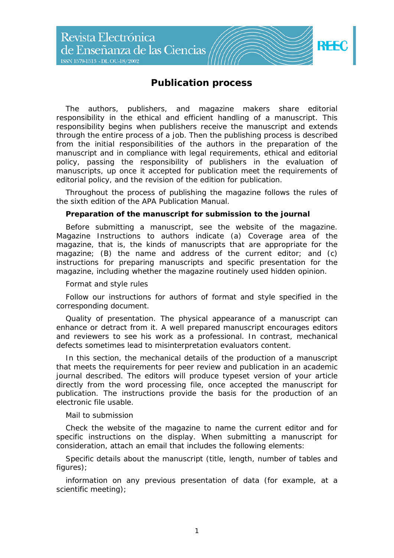

# **Publication process**

The authors, publishers, and magazine makers share editorial responsibility in the ethical and efficient handling of a manuscript. This responsibility begins when publishers receive the manuscript and extends through the entire process of a job. Then the publishing process is described from the initial responsibilities of the authors in the preparation of the manuscript and in compliance with legal requirements, ethical and editorial policy, passing the responsibility of publishers in the evaluation of manuscripts, up once it accepted for publication meet the requirements of editorial policy, and the revision of the edition for publication.

Throughout the process of publishing the magazine follows the rules of the sixth edition of the APA Publication Manual.

### **Preparation of the manuscript for submission to the journal**

Before submitting a manuscript, see the website of the magazine. Magazine Instructions to authors indicate (a) Coverage area of the magazine, that is, the kinds of manuscripts that are appropriate for the magazine; (B) the name and address of the current editor; and (c) instructions for preparing manuscripts and specific presentation for the magazine, including whether the magazine routinely used hidden opinion.

### *Format and style rules*

Follow our instructions for authors of format and style specified in the corresponding document.

Quality of presentation. The physical appearance of a manuscript can enhance or detract from it. A well prepared manuscript encourages editors and reviewers to see his work as a professional. In contrast, mechanical defects sometimes lead to misinterpretation evaluators content.

In this section, the mechanical details of the production of a manuscript that meets the requirements for peer review and publication in an academic journal described. The editors will produce typeset version of your article directly from the word processing file, once accepted the manuscript for publication. The instructions provide the basis for the production of an electronic file usable.

### *Mail to submission*

Check the website of the magazine to name the current editor and for specific instructions on the display. When submitting a manuscript for consideration, attach an email that includes the following elements:

Specific details about the manuscript (title, length, number of tables and figures);

information on any previous presentation of data (for example, at a scientific meeting);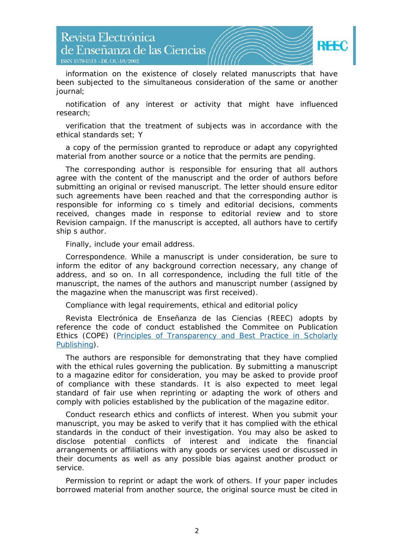

information on the existence of closely related manuscripts that have been subjected to the simultaneous consideration of the same or another journal;

notification of any interest or activity that might have influenced research;

verification that the treatment of subjects was in accordance with the ethical standards set; Y

a copy of the permission granted to reproduce or adapt any copyrighted material from another source or a notice that the permits are pending.

The corresponding author is responsible for ensuring that all authors agree with the content of the manuscript and the order of authors before submitting an original or revised manuscript. The letter should ensure editor such agreements have been reached and that the corresponding author is responsible for informing co s timely and editorial decisions, comments received, changes made in response to editorial review and to store Revision campaign. If the manuscript is accepted, all authors have to certify ship s author.

Finally, include your email address.

Correspondence. While a manuscript is under consideration, be sure to inform the editor of any background correction necessary, any change of address, and so on. In all correspondence, including the full title of the manuscript, the names of the authors and manuscript number (assigned by the magazine when the manuscript was first received).

Compliance with legal requirements, ethical and editorial policy

*Revista Electrónica de Enseñanza de las Ciencias* (REEC) adopts by reference the code of conduct established the Commitee on Publication Ethics (COPE) [\(Principles of Transparency and Best Practice in Scholarly](http://publicationethics.org/files/Principles_of_Transparency_and_Best_Practice_in_Scholarly_Publishingv2.pdf)  [Publishing\)](http://publicationethics.org/files/Principles_of_Transparency_and_Best_Practice_in_Scholarly_Publishingv2.pdf).

The authors are responsible for demonstrating that they have complied with the ethical rules governing the publication. By submitting a manuscript to a magazine editor for consideration, you may be asked to provide proof of compliance with these standards. It is also expected to meet legal standard of fair use when reprinting or adapting the work of others and comply with policies established by the publication of the magazine editor.

Conduct research ethics and conflicts of interest. When you submit your manuscript, you may be asked to verify that it has complied with the ethical standards in the conduct of their investigation. You may also be asked to disclose potential conflicts of interest and indicate the financial arrangements or affiliations with any goods or services used or discussed in their documents as well as any possible bias against another product or service.

Permission to reprint or adapt the work of others. If your paper includes borrowed material from another source, the original source must be cited in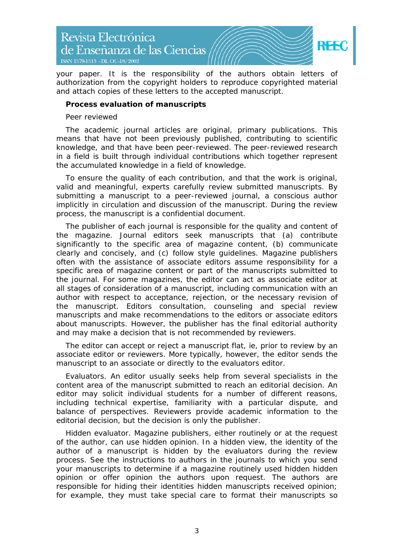

your paper. It is the responsibility of the authors obtain letters of authorization from the copyright holders to reproduce copyrighted material and attach copies of these letters to the accepted manuscript.

### **Process evaluation of manuscripts**

### *Peer reviewed*

The academic journal articles are original, primary publications. This means that have not been previously published, contributing to scientific knowledge, and that have been peer-reviewed. The peer-reviewed research in a field is built through individual contributions which together represent the accumulated knowledge in a field of knowledge.

To ensure the quality of each contribution, and that the work is original, valid and meaningful, experts carefully review submitted manuscripts. By submitting a manuscript to a peer-reviewed journal, a conscious author implicitly in circulation and discussion of the manuscript. During the review process, the manuscript is a confidential document.

The publisher of each journal is responsible for the quality and content of the magazine. Journal editors seek manuscripts that (a) contribute significantly to the specific area of magazine content, (b) communicate clearly and concisely, and (c) follow style guidelines. Magazine publishers often with the assistance of associate editors assume responsibility for a specific area of magazine content or part of the manuscripts submitted to the journal. For some magazines, the editor can act as associate editor at all stages of consideration of a manuscript, including communication with an author with respect to acceptance, rejection, or the necessary revision of the manuscript. Editors consultation, counseling and special review manuscripts and make recommendations to the editors or associate editors about manuscripts. However, the publisher has the final editorial authority and may make a decision that is not recommended by reviewers.

The editor can accept or reject a manuscript flat, ie, prior to review by an associate editor or reviewers. More typically, however, the editor sends the manuscript to an associate or directly to the evaluators editor.

Evaluators. An editor usually seeks help from several specialists in the content area of the manuscript submitted to reach an editorial decision. An editor may solicit individual students for a number of different reasons, including technical expertise, familiarity with a particular dispute, and balance of perspectives. Reviewers provide academic information to the editorial decision, but the decision is only the publisher.

Hidden evaluator. Magazine publishers, either routinely or at the request of the author, can use hidden opinion. In a hidden view, the identity of the author of a manuscript is hidden by the evaluators during the review process. See the instructions to authors in the journals to which you send your manuscripts to determine if a magazine routinely used hidden hidden opinion or offer opinion the authors upon request. The authors are responsible for hiding their identities hidden manuscripts received opinion; for example, they must take special care to format their manuscripts so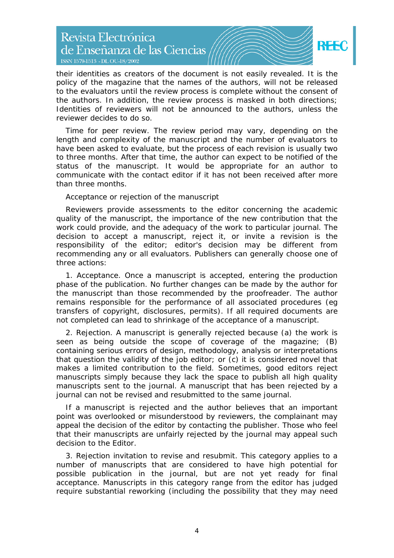# Revista Electrónica de Enseñanza de las Ciencias ISSN 1579-1513 - DL OU-18/2002



their identities as creators of the document is not easily revealed. It is the policy of the magazine that the names of the authors, will not be released to the evaluators until the review process is complete without the consent of the authors. In addition, the review process is masked in both directions; Identities of reviewers will not be announced to the authors, unless the reviewer decides to do so.

Time for peer review. The review period may vary, depending on the length and complexity of the manuscript and the number of evaluators to have been asked to evaluate, but the process of each revision is usually two to three months. After that time, the author can expect to be notified of the status of the manuscript. It would be appropriate for an author to communicate with the contact editor if it has not been received after more than three months.

# *Acceptance or rejection of the manuscript*

Reviewers provide assessments to the editor concerning the academic quality of the manuscript, the importance of the new contribution that the work could provide, and the adequacy of the work to particular journal. The decision to accept a manuscript, reject it, or invite a revision is the responsibility of the editor; editor's decision may be different from recommending any or all evaluators. Publishers can generally choose one of three actions:

1. Acceptance. Once a manuscript is accepted, entering the production phase of the publication. No further changes can be made by the author for the manuscript than those recommended by the proofreader. The author remains responsible for the performance of all associated procedures (eg transfers of copyright, disclosures, permits). If all required documents are not completed can lead to shrinkage of the acceptance of a manuscript.

2. Rejection. A manuscript is generally rejected because (a) the work is seen as being outside the scope of coverage of the magazine; (B) containing serious errors of design, methodology, analysis or interpretations that question the validity of the job editor; or (c) it is considered novel that makes a limited contribution to the field. Sometimes, good editors reject manuscripts simply because they lack the space to publish all high quality manuscripts sent to the journal. A manuscript that has been rejected by a journal can not be revised and resubmitted to the same journal.

If a manuscript is rejected and the author believes that an important point was overlooked or misunderstood by reviewers, the complainant may appeal the decision of the editor by contacting the publisher. Those who feel that their manuscripts are unfairly rejected by the journal may appeal such decision to the Editor.

3. Rejection invitation to revise and resubmit. This category applies to a number of manuscripts that are considered to have high potential for possible publication in the journal, but are not yet ready for final acceptance. Manuscripts in this category range from the editor has judged require substantial reworking (including the possibility that they may need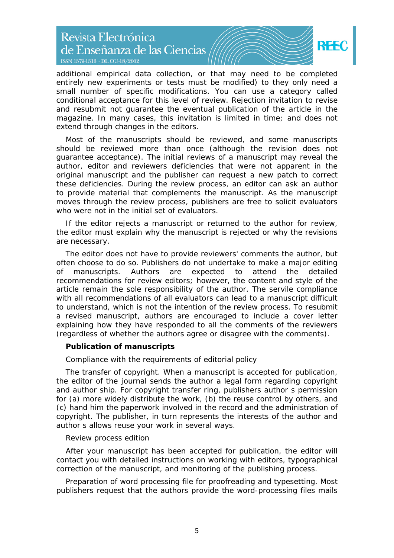Revista Electrónica de Enseñanza de las Ciencias ISSN 1579-1513 - DL OU-18/2002



additional empirical data collection, or that may need to be completed entirely new experiments or tests must be modified) to they only need a small number of specific modifications. You can use a category called conditional acceptance for this level of review. Rejection invitation to revise and resubmit not guarantee the eventual publication of the article in the magazine. In many cases, this invitation is limited in time; and does not extend through changes in the editors.

Most of the manuscripts should be reviewed, and some manuscripts should be reviewed more than once (although the revision does not guarantee acceptance). The initial reviews of a manuscript may reveal the author, editor and reviewers deficiencies that were not apparent in the original manuscript and the publisher can request a new patch to correct these deficiencies. During the review process, an editor can ask an author to provide material that complements the manuscript. As the manuscript moves through the review process, publishers are free to solicit evaluators who were not in the initial set of evaluators.

If the editor rejects a manuscript or returned to the author for review, the editor must explain why the manuscript is rejected or why the revisions are necessary.

The editor does not have to provide reviewers' comments the author, but often choose to do so. Publishers do not undertake to make a major editing of manuscripts. Authors are expected to attend the detailed recommendations for review editors; however, the content and style of the article remain the sole responsibility of the author. The servile compliance with all recommendations of all evaluators can lead to a manuscript difficult to understand, which is not the intention of the review process. To resubmit a revised manuscript, authors are encouraged to include a cover letter explaining how they have responded to all the comments of the reviewers (regardless of whether the authors agree or disagree with the comments).

### **Publication of manuscripts**

# *Compliance with the requirements of editorial policy*

The transfer of copyright. When a manuscript is accepted for publication, the editor of the journal sends the author a legal form regarding copyright and author ship. For copyright transfer ring, publishers author s permission for (a) more widely distribute the work, (b) the reuse control by others, and (c) hand him the paperwork involved in the record and the administration of copyright. The publisher, in turn represents the interests of the author and author s allows reuse your work in several ways.

### *Review process edition*

After your manuscript has been accepted for publication, the editor will contact you with detailed instructions on working with editors, typographical correction of the manuscript, and monitoring of the publishing process.

Preparation of word processing file for proofreading and typesetting. Most publishers request that the authors provide the word-processing files mails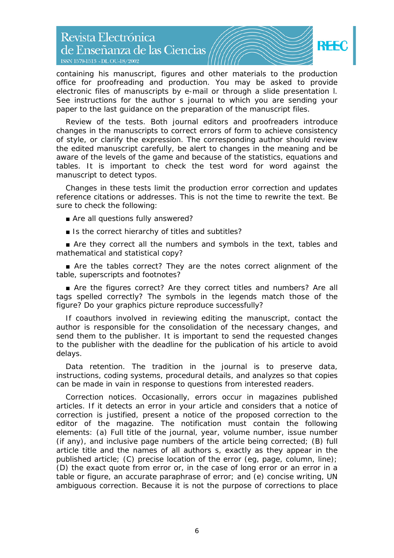# Revista Electrónica de Enseñanza de las Ciencias ISSN 1579-1513 - DL OU-18/2002



containing his manuscript, figures and other materials to the production office for proofreading and production. You may be asked to provide electronic files of manuscripts by e-mail or through a slide presentation l. See instructions for the author s journal to which you are sending your paper to the last guidance on the preparation of the manuscript files.

Review of the tests. Both journal editors and proofreaders introduce changes in the manuscripts to correct errors of form to achieve consistency of style, or clarify the expression. The corresponding author should review the edited manuscript carefully, be alert to changes in the meaning and be aware of the levels of the game and because of the statistics, equations and tables. It is important to check the test word for word against the manuscript to detect typos.

Changes in these tests limit the production error correction and updates reference citations or addresses. This is not the time to rewrite the text. Be sure to check the following:

- Are all questions fully answered?
- Is the correct hierarchy of titles and subtitles?

■ Are they correct all the numbers and symbols in the text, tables and mathematical and statistical copy?

■ Are the tables correct? They are the notes correct alignment of the table, superscripts and footnotes?

■ Are the figures correct? Are they correct titles and numbers? Are all tags spelled correctly? The symbols in the legends match those of the figure? Do your graphics picture reproduce successfully?

If coauthors involved in reviewing editing the manuscript, contact the author is responsible for the consolidation of the necessary changes, and send them to the publisher. It is important to send the requested changes to the publisher with the deadline for the publication of his article to avoid delays.

Data retention. The tradition in the journal is to preserve data, instructions, coding systems, procedural details, and analyzes so that copies can be made in vain in response to questions from interested readers.

Correction notices. Occasionally, errors occur in magazines published articles. If it detects an error in your article and considers that a notice of correction is justified, present a notice of the proposed correction to the editor of the magazine. The notification must contain the following elements: (a) Full title of the journal, year, volume number, issue number (if any), and inclusive page numbers of the article being corrected; (B) full article title and the names of all authors s, exactly as they appear in the published article; (C) precise location of the error (eg, page, column, line); (D) the exact quote from error or, in the case of long error or an error in a table or figure, an accurate paraphrase of error; and (e) concise writing, UN ambiguous correction. Because it is not the purpose of corrections to place